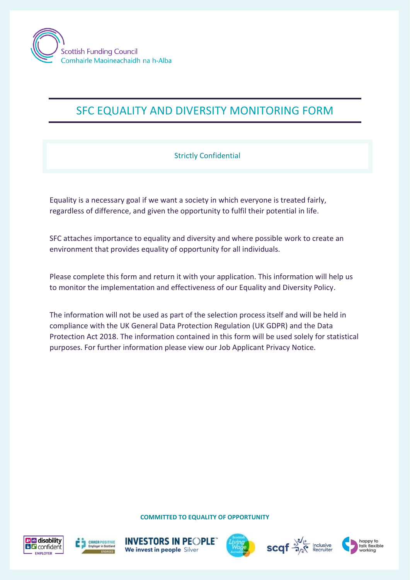

## SFC EQUALITY AND DIVERSITY MONITORING FORM

## Strictly Confidential

Equality is a necessary goal if we want a society in which everyone is treated fairly, regardless of difference, and given the opportunity to fulfil their potential in life.

SFC attaches importance to equality and diversity and where possible work to create an environment that provides equality of opportunity for all individuals.

Please complete this form and return it with your application. This information will help us to monitor the implementation and effectiveness of our Equality and Diversity Policy.

The information will not be used as part of the selection process itself and will be held in compliance with the UK General Data Protection Regulation (UK GDPR) and the Data Protection Act 2018. The information contained in this form will be used solely for statistical purposes. For further information please view our Job Applicant Privacy Notice.

**COMMITTED TO EQUALITY OF OPPORTUNITY**













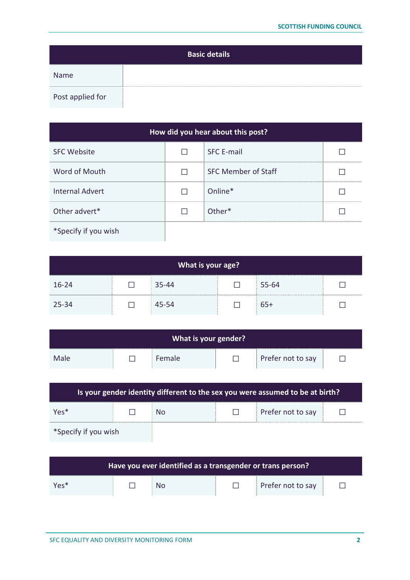|                  | <b>Basic details</b> |
|------------------|----------------------|
| Name             |                      |
| Post applied for |                      |

| How did you hear about this post? |  |                            |  |  |  |  |
|-----------------------------------|--|----------------------------|--|--|--|--|
| <b>SFC Website</b>                |  | <b>SFC E-mail</b>          |  |  |  |  |
| Word of Mouth                     |  | <b>SFC Member of Staff</b> |  |  |  |  |
| <b>Internal Advert</b>            |  | Online*                    |  |  |  |  |
| Other advert*                     |  | Other*                     |  |  |  |  |
| *Specify if you wish              |  |                            |  |  |  |  |

| What is your age? |  |       |  |       |  |
|-------------------|--|-------|--|-------|--|
| $16 - 24$         |  | 35-44 |  | 55-64 |  |
| 25-34             |  | 45-54 |  | $65+$ |  |

| What is your gender? |  |               |  |                   |  |
|----------------------|--|---------------|--|-------------------|--|
| Male                 |  | <b>Female</b> |  | Prefer not to say |  |

| Is your gender identity different to the sex you were assumed to be at birth? |  |    |  |                   |  |  |
|-------------------------------------------------------------------------------|--|----|--|-------------------|--|--|
| $Y \rho \varsigma^*$                                                          |  | Nο |  | Prefer not to say |  |  |
| *Specify if you wish                                                          |  |    |  |                   |  |  |

| Have you ever identified as a transgender or trans person? |  |    |  |                   |  |
|------------------------------------------------------------|--|----|--|-------------------|--|
| $Yes*$                                                     |  | No |  | Prefer not to say |  |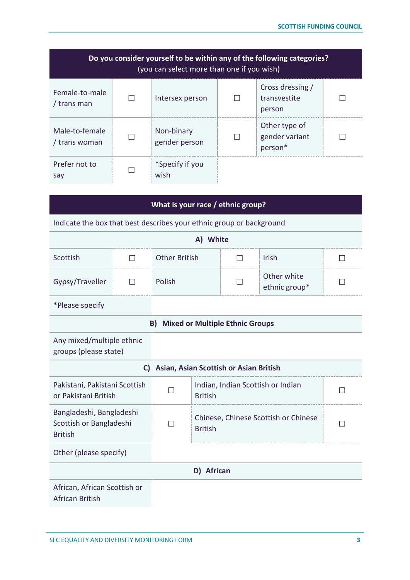| Do you consider yourself to be within any of the following categories?<br>(you can select more than one if you wish) |  |                             |  |                                            |  |  |
|----------------------------------------------------------------------------------------------------------------------|--|-----------------------------|--|--------------------------------------------|--|--|
| Female-to-male<br>/ trans man                                                                                        |  | Intersex person             |  | Cross dressing /<br>transvestite<br>person |  |  |
| Male-to-female<br>/ trans woman                                                                                      |  | Non-binary<br>gender person |  | Other type of<br>gender variant<br>person* |  |  |
| Prefer not to<br>say                                                                                                 |  | *Specify if you<br>wish     |  |                                            |  |  |

| What is your race / ethnic group?                                     |                                                                      |                                           |                                                        |                                        |                              |                |  |
|-----------------------------------------------------------------------|----------------------------------------------------------------------|-------------------------------------------|--------------------------------------------------------|----------------------------------------|------------------------------|----------------|--|
|                                                                       | Indicate the box that best describes your ethnic group or background |                                           |                                                        |                                        |                              |                |  |
|                                                                       |                                                                      |                                           | A) White                                               |                                        |                              |                |  |
| Scottish                                                              | $\Box$                                                               | <b>Other British</b>                      |                                                        | ΙI                                     | <b>Irish</b>                 | $\blacksquare$ |  |
| Gypsy/Traveller                                                       | П                                                                    | Polish                                    |                                                        |                                        | Other white<br>ethnic group* |                |  |
| *Please specify                                                       |                                                                      |                                           |                                                        |                                        |                              |                |  |
|                                                                       |                                                                      | <b>B) Mixed or Multiple Ethnic Groups</b> |                                                        |                                        |                              |                |  |
| Any mixed/multiple ethnic<br>groups (please state)                    |                                                                      |                                           |                                                        |                                        |                              |                |  |
|                                                                       | C)                                                                   |                                           |                                                        | Asian, Asian Scottish or Asian British |                              |                |  |
| Pakistani, Pakistani Scottish<br>or Pakistani British                 |                                                                      |                                           | Indian, Indian Scottish or Indian<br><b>British</b>    |                                        | $\mathsf{L}$                 |                |  |
| Bangladeshi, Bangladeshi<br>Scottish or Bangladeshi<br><b>British</b> |                                                                      |                                           | Chinese, Chinese Scottish or Chinese<br><b>British</b> |                                        |                              |                |  |
| Other (please specify)                                                |                                                                      |                                           |                                                        |                                        |                              |                |  |
|                                                                       |                                                                      |                                           | D) African                                             |                                        |                              |                |  |
| African, African Scottish or<br><b>African British</b>                |                                                                      |                                           |                                                        |                                        |                              |                |  |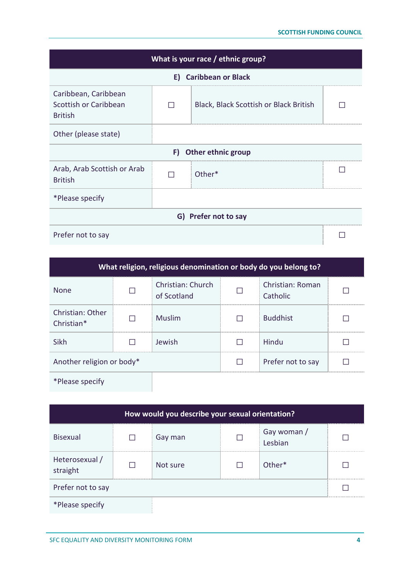| What is your race / ethnic group?                               |                       |                                        |  |  |  |  |
|-----------------------------------------------------------------|-----------------------|----------------------------------------|--|--|--|--|
|                                                                 | E) Caribbean or Black |                                        |  |  |  |  |
| Caribbean, Caribbean<br>Scottish or Caribbean<br><b>British</b> |                       | Black, Black Scottish or Black British |  |  |  |  |
| Other (please state)                                            |                       |                                        |  |  |  |  |
|                                                                 | F)                    | <b>Other ethnic group</b>              |  |  |  |  |
| Arab, Arab Scottish or Arab<br><b>British</b>                   |                       | Other*                                 |  |  |  |  |
| *Please specify                                                 |                       |                                        |  |  |  |  |
| G) Prefer not to say                                            |                       |                                        |  |  |  |  |
| Prefer not to say                                               |                       |                                        |  |  |  |  |

| What religion, religious denomination or body do you belong to? |  |                                         |  |                              |  |  |
|-----------------------------------------------------------------|--|-----------------------------------------|--|------------------------------|--|--|
| <b>None</b>                                                     |  | <b>Christian: Church</b><br>of Scotland |  | Christian: Roman<br>Catholic |  |  |
| Christian: Other<br>Christian*                                  |  | <b>Muslim</b>                           |  | <b>Buddhist</b>              |  |  |
| Sikh                                                            |  | Jewish                                  |  | Hindu                        |  |  |
| Another religion or body*                                       |  |                                         |  | Prefer not to say            |  |  |
| *Please specify                                                 |  |                                         |  |                              |  |  |

| How would you describe your sexual orientation? |  |          |  |                        |  |
|-------------------------------------------------|--|----------|--|------------------------|--|
| <b>Bisexual</b>                                 |  | Gay man  |  | Gay woman /<br>Lesbian |  |
| Heterosexual /<br>straight                      |  | Not sure |  | Other*                 |  |
| Prefer not to say                               |  |          |  |                        |  |
| *Please specify                                 |  |          |  |                        |  |